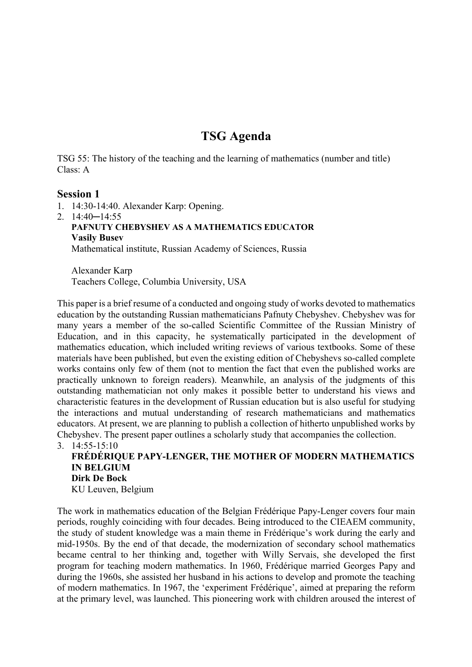# **TSG Agenda**

TSG 55: The history of the teaching and the learning of mathematics (number and title) Class: A

#### **Session 1**

1. 14:30-14:40. Alexander Karp: Opening.

2. 14:40─14:55 **PAFNUTY CHEBYSHEV AS A MATHEMATICS EDUCATOR Vasily Busev** Mathematical institute, Russian Academy of Sciences, Russia

Alexander Karp Teachers College, Columbia University, USA

This paper is a brief resume of a conducted and ongoing study of works devoted to mathematics education by the outstanding Russian mathematicians Pafnuty Chebyshev. Chebyshev was for many years a member of the so-called Scientific Committee of the Russian Ministry of Education, and in this capacity, he systematically participated in the development of mathematics education, which included writing reviews of various textbooks. Some of these materials have been published, but even the existing edition of Chebyshevs so-called complete works contains only few of them (not to mention the fact that even the published works are practically unknown to foreign readers). Meanwhile, an analysis of the judgments of this outstanding mathematician not only makes it possible better to understand his views and characteristic features in the development of Russian education but is also useful for studying the interactions and mutual understanding of research mathematicians and mathematics educators. At present, we are planning to publish a collection of hitherto unpublished works by Chebyshev. The present paper outlines a scholarly study that accompanies the collection. 3. 14:55-15:10

**FRÉDÉRIQUE PAPY-LENGER, THE MOTHER OF MODERN MATHEMATICS IN BELGIUM Dirk De Bock** KU Leuven, Belgium

The work in mathematics education of the Belgian Frédérique Papy-Lenger covers four main periods, roughly coinciding with four decades. Being introduced to the CIEAEM community, the study of student knowledge was a main theme in Frédérique's work during the early and mid-1950s. By the end of that decade, the modernization of secondary school mathematics became central to her thinking and, together with Willy Servais, she developed the first program for teaching modern mathematics. In 1960, Frédérique married Georges Papy and during the 1960s, she assisted her husband in his actions to develop and promote the teaching of modern mathematics. In 1967, the 'experiment Frédérique', aimed at preparing the reform at the primary level, was launched. This pioneering work with children aroused the interest of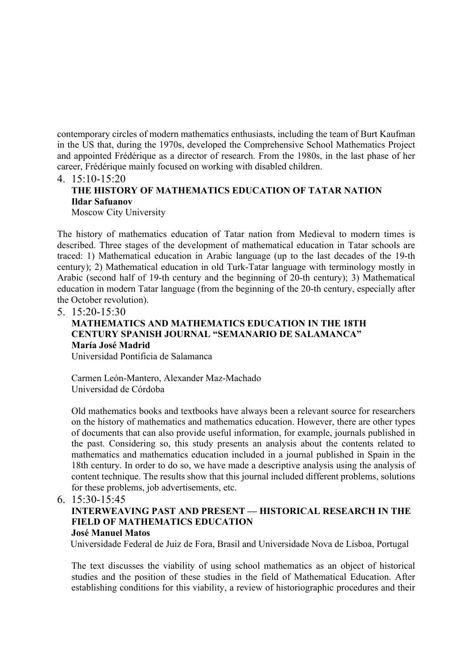contemporary circles of modern mathematics enthusiasts, including the team of Burt Kaufman in the US that, during the 1970s, developed the Comprehensive School Mathematics Project and appointed Frédérique as a director of research. From the 1980s, in the last phase of her career, Frédérique mainly focused on working with disabled children.

## 4. 15:10-15:20 **THE HISTORY OF MATHEMATICS EDUCATION OF TATAR NATION Ildar Safuanov**

Moscow City University

The history of mathematics education of Tatar nation from Medieval to modern times is described. Three stages of the development of mathematical education in Tatar schools are traced: 1) Mathematical education in Arabic language (up to the last decades of the 19-th century); 2) Mathematical education in old Turk-Tatar language with terminology mostly in Arabic (second half of 19-th century and the beginning of 20-th century); 3) Mathematical education in modern Tatar language (from the beginning of the 20-th century, especially after the October revolution).

5. 15:20-15:30

## **MATHEMATICS AND MATHEMATICS EDUCATION IN THE 18TH CENTURY SPANISH JOURNAL "SEMANARIO DE SALAMANCA" María José Madrid**

Universidad Pontificia de Salamanca

Carmen León-Mantero, Alexander Maz-Machado Universidad de Córdoba

Old mathematics books and textbooks have always been a relevant source for researchers on the history of mathematics and mathematics education. However, there are other types of documents that can also provide useful information, for example, journals published in the past. Considering so, this study presents an analysis about the contents related to mathematics and mathematics education included in a journal published in Spain in the 18th century. In order to do so, we have made a descriptive analysis using the analysis of content technique. The results show that this journal included different problems, solutions for these problems, job advertisements, etc.

6. 15:30-15:45

#### **INTERWEAVING PAST AND PRESENT — HISTORICAL RESEARCH IN THE FIELD OF MATHEMATICS EDUCATION José Manuel Matos**

Universidade Federal de Juiz de Fora, Brasil and Universidade Nova de Lisboa, Portugal

The text discusses the viability of using school mathematics as an object of historical studies and the position of these studies in the field of Mathematical Education. After establishing conditions for this viability, a review of historiographic procedures and their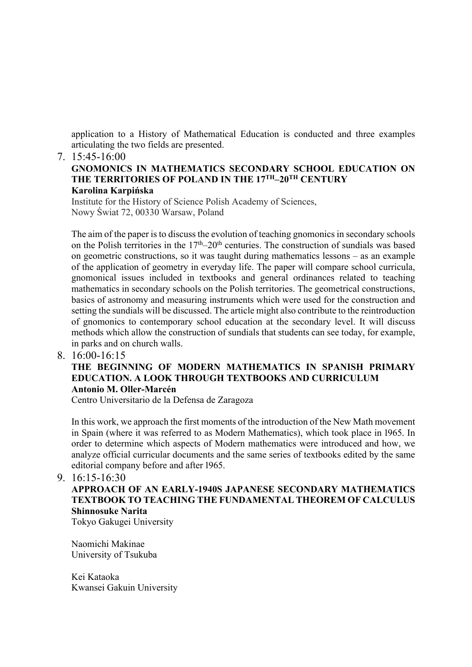application to a History of Mathematical Education is conducted and three examples articulating the two fields are presented.

#### 7. 15:45-16:00

#### **GNOMONICS IN MATHEMATICS SECONDARY SCHOOL EDUCATION ON THE TERRITORIES OF POLAND IN THE 17TH–20TH CENTURY Karolina Karpińska**

Institute for the History of Science Polish Academy of Sciences, Nowy Świat 72, 00330 Warsaw, Poland

The aim of the paper is to discuss the evolution of teaching gnomonics in secondary schools on the Polish territories in the  $17<sup>th</sup>-20<sup>th</sup>$  centuries. The construction of sundials was based on geometric constructions, so it was taught during mathematics lessons – as an example of the application of geometry in everyday life. The paper will compare school curricula, gnomonical issues included in textbooks and general ordinances related to teaching mathematics in secondary schools on the Polish territories. The geometrical constructions, basics of astronomy and measuring instruments which were used for the construction and setting the sundials will be discussed. The article might also contribute to the reintroduction of gnomonics to contemporary school education at the secondary level. It will discuss methods which allow the construction of sundials that students can see today, for example, in parks and on church walls.

8. 16:00-16:15

### **THE BEGINNING OF MODERN MATHEMATICS IN SPANISH PRIMARY EDUCATION. A LOOK THROUGH TEXTBOOKS AND CURRICULUM Antonio M. Oller-Marcén**

Centro Universitario de la Defensa de Zaragoza

In this work, we approach the first moments of the introduction of the New Math movement in Spain (where it was referred to as Modern Mathematics), which took place in 1965. In order to determine which aspects of Modern mathematics were introduced and how, we analyze official curricular documents and the same series of textbooks edited by the same editorial company before and after 1965.

9. 16:15-16:30

## **APPROACH OF AN EARLY-1940S JAPANESE SECONDARY MATHEMATICS TEXTBOOK TO TEACHING THE FUNDAMENTAL THEOREM OF CALCULUS Shinnosuke Narita**

Tokyo Gakugei University

Naomichi Makinae University of Tsukuba

Kei Kataoka Kwansei Gakuin University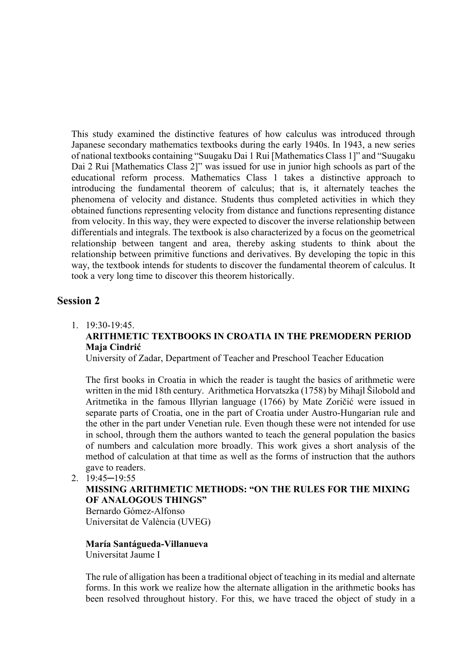This study examined the distinctive features of how calculus was introduced through Japanese secondary mathematics textbooks during the early 1940s. In 1943, a new series of national textbooks containing "Suugaku Dai 1 Rui [Mathematics Class 1]" and "Suugaku Dai 2 Rui [Mathematics Class 2]" was issued for use in junior high schools as part of the educational reform process. Mathematics Class 1 takes a distinctive approach to introducing the fundamental theorem of calculus; that is, it alternately teaches the phenomena of velocity and distance. Students thus completed activities in which they obtained functions representing velocity from distance and functions representing distance from velocity. In this way, they were expected to discover the inverse relationship between differentials and integrals. The textbook is also characterized by a focus on the geometrical relationship between tangent and area, thereby asking students to think about the relationship between primitive functions and derivatives. By developing the topic in this way, the textbook intends for students to discover the fundamental theorem of calculus. It took a very long time to discover this theorem historically.

### **Session 2**

## 1. 19:30-19:45. **ARITHMETIC TEXTBOOKS IN CROATIA IN THE PREMODERN PERIOD Maja Cindrić**

University of Zadar, Department of Teacher and Preschool Teacher Education

The first books in Croatia in which the reader is taught the basics of arithmetic were written in the mid 18th century. Arithmetica Horvatszka (1758) by Mihajl Šilobold and Aritmetika in the famous Illyrian language (1766) by Mate Zoričić were issued in separate parts of Croatia, one in the part of Croatia under Austro-Hungarian rule and the other in the part under Venetian rule. Even though these were not intended for use in school, through them the authors wanted to teach the general population the basics of numbers and calculation more broadly. This work gives a short analysis of the method of calculation at that time as well as the forms of instruction that the authors gave to readers.

2. 19:45─19:55

#### **MISSING ARITHMETIC METHODS: "ON THE RULES FOR THE MIXING OF ANALOGOUS THINGS"**

Bernardo Gómez-Alfonso Universitat de València (UVEG)

## **María Santágueda-Villanueva**

Universitat Jaume I

The rule of alligation has been a traditional object of teaching in its medial and alternate forms. In this work we realize how the alternate alligation in the arithmetic books has been resolved throughout history. For this, we have traced the object of study in a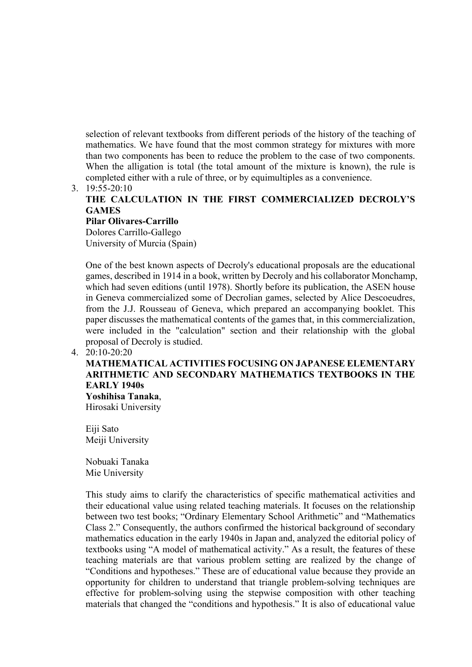selection of relevant textbooks from different periods of the history of the teaching of mathematics. We have found that the most common strategy for mixtures with more than two components has been to reduce the problem to the case of two components. When the alligation is total (the total amount of the mixture is known), the rule is completed either with a rule of three, or by equimultiples as a convenience.

#### 3. 19:55-20:10

## **THE CALCULATION IN THE FIRST COMMERCIALIZED DECROLY'S GAMES**

**Pilar Olivares-Carrillo** Dolores Carrillo-Gallego University of Murcia (Spain)

One of the best known aspects of Decroly's educational proposals are the educational games, described in 1914 in a book, written by Decroly and his collaborator Monchamp, which had seven editions (until 1978). Shortly before its publication, the ASEN house in Geneva commercialized some of Decrolian games, selected by Alice Descoeudres, from the J.J. Rousseau of Geneva, which prepared an accompanying booklet. This paper discusses the mathematical contents of the games that, in this commercialization, were included in the "calculation" section and their relationship with the global proposal of Decroly is studied.

#### 4. 20:10-20:20

## **MATHEMATICAL ACTIVITIES FOCUSING ON JAPANESE ELEMENTARY ARITHMETIC AND SECONDARY MATHEMATICS TEXTBOOKS IN THE EARLY 1940s**

**Yoshihisa Tanaka**, Hirosaki University

Eiji Sato Meiji University

Nobuaki Tanaka Mie University

This study aims to clarify the characteristics of specific mathematical activities and their educational value using related teaching materials. It focuses on the relationship between two test books; "Ordinary Elementary School Arithmetic" and "Mathematics Class 2." Consequently, the authors confirmed the historical background of secondary mathematics education in the early 1940s in Japan and, analyzed the editorial policy of textbooks using "A model of mathematical activity." As a result, the features of these teaching materials are that various problem setting are realized by the change of "Conditions and hypotheses." These are of educational value because they provide an opportunity for children to understand that triangle problem-solving techniques are effective for problem-solving using the stepwise composition with other teaching materials that changed the "conditions and hypothesis." It is also of educational value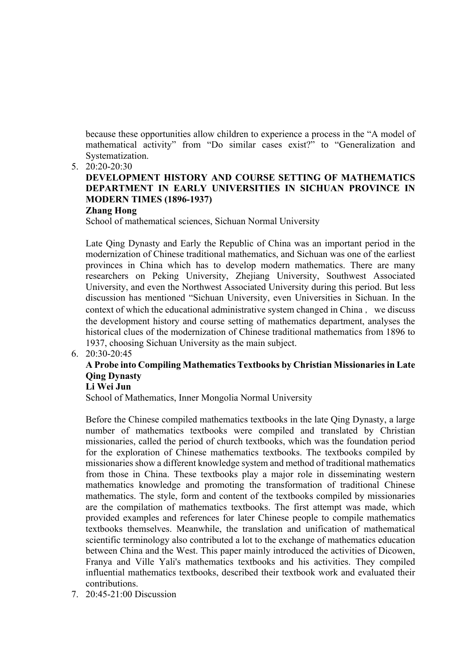because these opportunities allow children to experience a process in the "A model of mathematical activity" from "Do similar cases exist?" to "Generalization and Systematization.

5. 20:20-20:30

## **DEVELOPMENT HISTORY AND COURSE SETTING OF MATHEMATICS DEPARTMENT IN EARLY UNIVERSITIES IN SICHUAN PROVINCE IN MODERN TIMES (1896-1937)**

## **Zhang Hong**

School of mathematical sciences, Sichuan Normal University

Late Qing Dynasty and Early the Republic of China was an important period in the modernization of Chinese traditional mathematics, and Sichuan was one of the earliest provinces in China which has to develop modern mathematics. There are many researchers on Peking University, Zhejiang University, Southwest Associated University, and even the Northwest Associated University during this period. But less discussion has mentioned "Sichuan University, even Universities in Sichuan. In the context of which the educational administrative system changed in China, we discuss the development history and course setting of mathematics department, analyses the historical clues of the modernization of Chinese traditional mathematics from 1896 to 1937, choosing Sichuan University as the main subject.

6. 20:30-20:45

## **A Probe into Compiling Mathematics Textbooks by Christian Missionaries in Late Qing Dynasty**

#### **Li Wei Jun**

School of Mathematics, Inner Mongolia Normal University

Before the Chinese compiled mathematics textbooks in the late Qing Dynasty, a large number of mathematics textbooks were compiled and translated by Christian missionaries, called the period of church textbooks, which was the foundation period for the exploration of Chinese mathematics textbooks. The textbooks compiled by missionaries show a different knowledge system and method of traditional mathematics from those in China. These textbooks play a major role in disseminating western mathematics knowledge and promoting the transformation of traditional Chinese mathematics. The style, form and content of the textbooks compiled by missionaries are the compilation of mathematics textbooks. The first attempt was made, which provided examples and references for later Chinese people to compile mathematics textbooks themselves. Meanwhile, the translation and unification of mathematical scientific terminology also contributed a lot to the exchange of mathematics education between China and the West. This paper mainly introduced the activities of Dicowen, Franya and Ville Yali's mathematics textbooks and his activities. They compiled influential mathematics textbooks, described their textbook work and evaluated their contributions.

7. 20:45-21:00 Discussion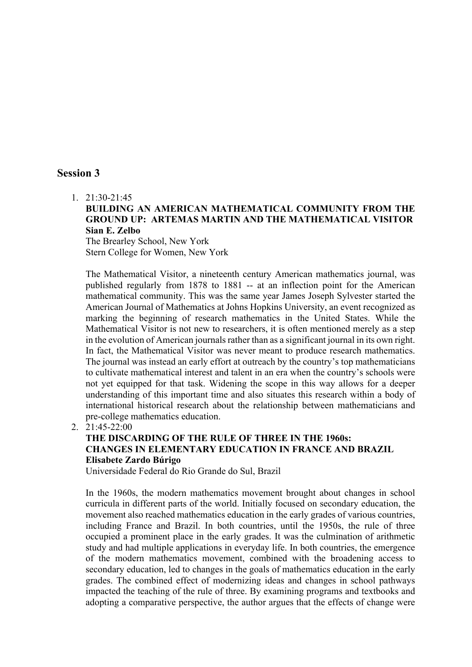### **Session 3**

1. 21:30-21:45

#### **BUILDING AN AMERICAN MATHEMATICAL COMMUNITY FROM THE GROUND UP: ARTEMAS MARTIN AND THE MATHEMATICAL VISITOR Sian E. Zelbo**

The Brearley School, New York Stern College for Women, New York

The Mathematical Visitor, a nineteenth century American mathematics journal, was published regularly from 1878 to 1881 -- at an inflection point for the American mathematical community. This was the same year James Joseph Sylvester started the American Journal of Mathematics at Johns Hopkins University, an event recognized as marking the beginning of research mathematics in the United States. While the Mathematical Visitor is not new to researchers, it is often mentioned merely as a step in the evolution of American journals rather than as a significant journal in its own right. In fact, the Mathematical Visitor was never meant to produce research mathematics. The journal was instead an early effort at outreach by the country's top mathematicians to cultivate mathematical interest and talent in an era when the country's schools were not yet equipped for that task. Widening the scope in this way allows for a deeper understanding of this important time and also situates this research within a body of international historical research about the relationship between mathematicians and pre-college mathematics education.

2. 21:45-22:00

## **THE DISCARDING OF THE RULE OF THREE IN THE 1960s: CHANGES IN ELEMENTARY EDUCATION IN FRANCE AND BRAZIL Elisabete Zardo Búrigo**

Universidade Federal do Rio Grande do Sul, Brazil

In the 1960s, the modern mathematics movement brought about changes in school curricula in different parts of the world. Initially focused on secondary education, the movement also reached mathematics education in the early grades of various countries, including France and Brazil. In both countries, until the 1950s, the rule of three occupied a prominent place in the early grades. It was the culmination of arithmetic study and had multiple applications in everyday life. In both countries, the emergence of the modern mathematics movement, combined with the broadening access to secondary education, led to changes in the goals of mathematics education in the early grades. The combined effect of modernizing ideas and changes in school pathways impacted the teaching of the rule of three. By examining programs and textbooks and adopting a comparative perspective, the author argues that the effects of change were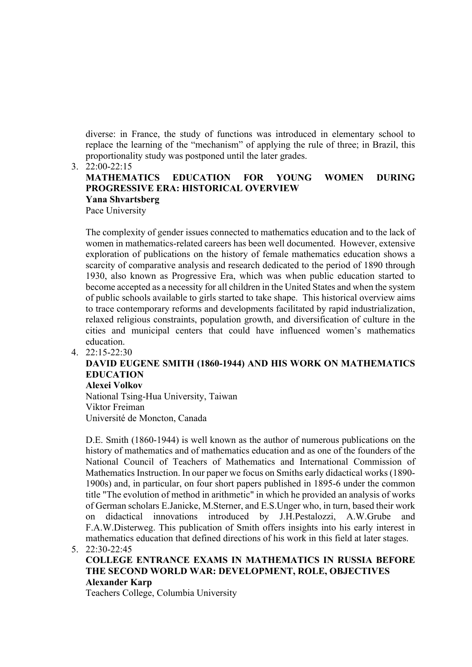diverse: in France, the study of functions was introduced in elementary school to replace the learning of the "mechanism" of applying the rule of three; in Brazil, this proportionality study was postponed until the later grades.

3. 22:00-22:15

#### **MATHEMATICS EDUCATION FOR YOUNG WOMEN DURING PROGRESSIVE ERA: HISTORICAL OVERVIEW Yana Shvartsberg**  Pace University

The complexity of gender issues connected to mathematics education and to the lack of women in mathematics-related careers has been well documented. However, extensive exploration of publications on the history of female mathematics education shows a scarcity of comparative analysis and research dedicated to the period of 1890 through 1930, also known as Progressive Era, which was when public education started to become accepted as a necessity for all children in the United States and when the system of public schools available to girls started to take shape. This historical overview aims to trace contemporary reforms and developments facilitated by rapid industrialization, relaxed religious constraints, population growth, and diversification of culture in the cities and municipal centers that could have influenced women's mathematics education.

#### 4. 22:15-22:30

## **DAVID EUGENE SMITH (1860-1944) AND HIS WORK ON MATHEMATICS EDUCATION**

**Alexei Volkov** National Tsing-Hua University, Taiwan Viktor Freiman Université de Moncton, Canada

D.E. Smith (1860-1944) is well known as the author of numerous publications on the history of mathematics and of mathematics education and as one of the founders of the National Council of Teachers of Mathematics and International Commission of Mathematics Instruction. In our paper we focus on Smiths early didactical works (1890- 1900s) and, in particular, on four short papers published in 1895-6 under the common title "The evolution of method in arithmetic" in which he provided an analysis of works of German scholars E.Janicke, M.Sterner, and E.S.Unger who, in turn, based their work on didactical innovations introduced by J.H.Pestalozzi, A.W.Grube and F.A.W.Disterweg. This publication of Smith offers insights into his early interest in mathematics education that defined directions of his work in this field at later stages.

```
5. 22:30-22:45
```
#### **COLLEGE ENTRANCE EXAMS IN MATHEMATICS IN RUSSIA BEFORE THE SECOND WORLD WAR: DEVELOPMENT, ROLE, OBJECTIVES Alexander Karp**

Teachers College, Columbia University